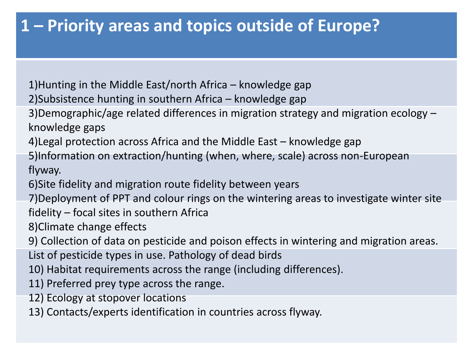### **1 – Priority areas and topics outside of Europe?**

1)Hunting in the Middle East/north Africa – knowledge gap

2)Subsistence hunting in southern Africa – knowledge gap

3)Demographic/age related differences in migration strategy and migration ecology – knowledge gaps

4)Legal protection across Africa and the Middle East – knowledge gap

5)Information on extraction/hunting (when, where, scale) across non-European flyway.

6)Site fidelity and migration route fidelity between years

7)Deployment of PPT and colour rings on the wintering areas to investigate winter site fidelity – focal sites in southern Africa

8)Climate change effects

9) Collection of data on pesticide and poison effects in wintering and migration areas.

List of pesticide types in use. Pathology of dead birds

10) Habitat requirements across the range (including differences).

11) Preferred prey type across the range.

12) Ecology at stopover locations

13) Contacts/experts identification in countries across flyway.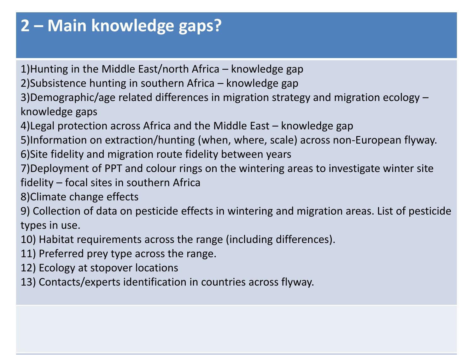# **2 – Main knowledge gaps?**

1)Hunting in the Middle East/north Africa – knowledge gap

2)Subsistence hunting in southern Africa – knowledge gap

3)Demographic/age related differences in migration strategy and migration ecology – knowledge gaps

4)Legal protection across Africa and the Middle East – knowledge gap

5)Information on extraction/hunting (when, where, scale) across non-European flyway.

6)Site fidelity and migration route fidelity between years

7)Deployment of PPT and colour rings on the wintering areas to investigate winter site fidelity – focal sites in southern Africa

8)Climate change effects

9) Collection of data on pesticide effects in wintering and migration areas. List of pesticide types in use.

10) Habitat requirements across the range (including differences).

11) Preferred prey type across the range.

12) Ecology at stopover locations

13) Contacts/experts identification in countries across flyway.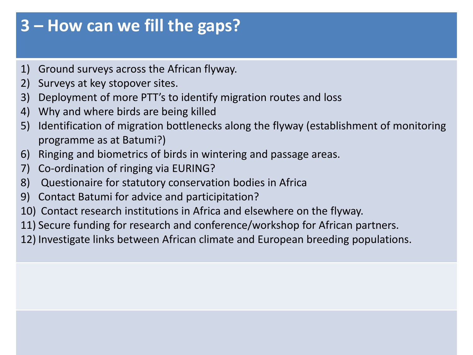### **3 – How can we fill the gaps?**

- 1) Ground surveys across the African flyway.
- 2) Surveys at key stopover sites.
- 3) Deployment of more PTT's to identify migration routes and loss
- 4) Why and where birds are being killed
- 5) Identification of migration bottlenecks along the flyway (establishment of monitoring programme as at Batumi?)
- 6) Ringing and biometrics of birds in wintering and passage areas.
- 7) Co-ordination of ringing via EURING?
- 8) Questionaire for statutory conservation bodies in Africa
- 9) Contact Batumi for advice and participitation?
- 10) Contact research institutions in Africa and elsewhere on the flyway.
- 11) Secure funding for research and conference/workshop for African partners.
- 12) Investigate links between African climate and European breeding populations.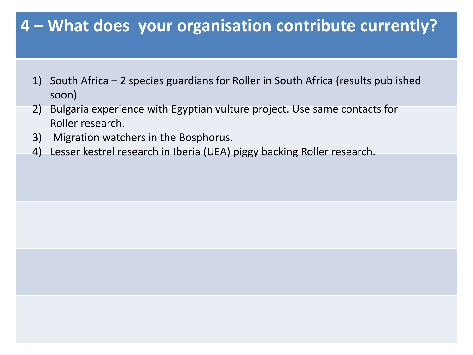### **4 – What does your organisation contribute currently?**

- 1) South Africa 2 species guardians for Roller in South Africa (results published soon)
- 2) Bulgaria experience with Egyptian vulture project. Use same contacts for Roller research.
- 3) Migration watchers in the Bosphorus.
- 4) Lesser kestrel research in Iberia (UEA) piggy backing Roller research.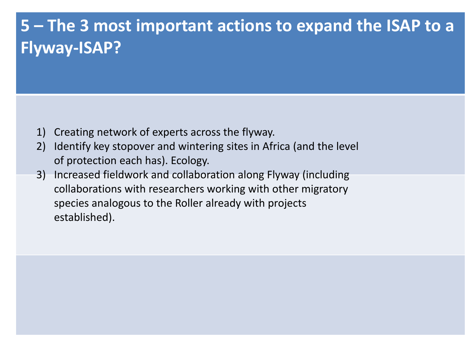# **5 – The 3 most important actions to expand the ISAP to a Flyway-ISAP?**

- 1) Creating network of experts across the flyway.
- 2) Identify key stopover and wintering sites in Africa (and the level of protection each has). Ecology.
- 3) Increased fieldwork and collaboration along Flyway (including collaborations with researchers working with other migratory species analogous to the Roller already with projects established).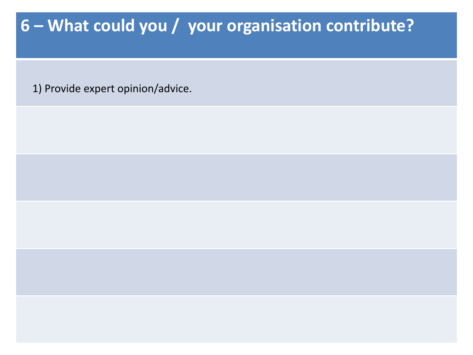# **6 – What could you / your organisation contribute?**

1) Provide expert opinion/advice.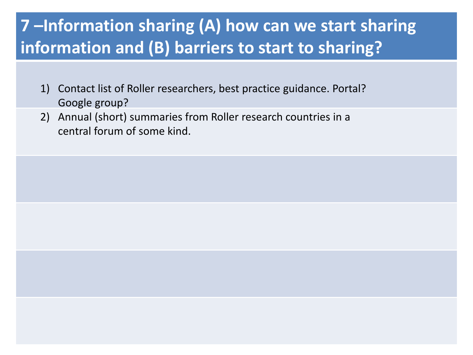# **7 –Information sharing (A) how can we start sharing information and (B) barriers to start to sharing?**

- 1) Contact list of Roller researchers, best practice guidance. Portal? Google group?
- 2) Annual (short) summaries from Roller research countries in a central forum of some kind.